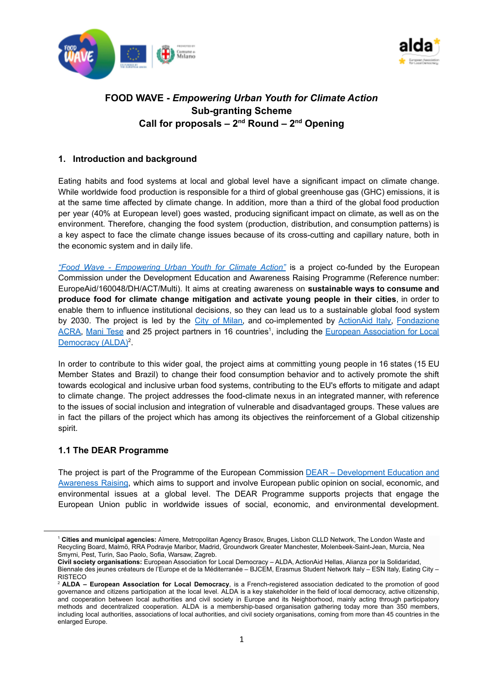



# **FOOD WAVE -** *Empowering Urban Youth for Climate Action* **Sub-granting Scheme Call for proposals – 2nd Round – 2nd Opening**

# **1. Introduction and background**

Eating habits and food systems at local and global level have a significant impact on climate change. While worldwide food production is responsible for a third of global greenhouse gas (GHC) emissions, it is at the same time affected by climate change. In addition, more than a third of the global food production per year (40% at European level) goes wasted, producing significant impact on climate, as well as on the environment. Therefore, changing the food system (production, distribution, and consumption patterns) is a key aspect to face the climate change issues because of its cross-cutting and capillary nature, both in the economic system and in daily life.

*"Food Wave - [Empowering](https://www.foodwave.eu/) Urban Youth for Climate Action"* is a project co-funded by the European Commission under the Development Education and Awareness Raising Programme (Reference number: EuropeAid/160048/DH/ACT/Multi). It aims at creating awareness on **sustainable ways to consume and produce food for climate change mitigation and activate young people in their cities**, in order to enable them to influence institutional decisions, so they can lead us to a sustainable global food system by 2030. The project is led by the City of [Milan,](https://www.comune.milano.it/) and co-implemented by [ActionAid](https://www.actionaid.it/) Italy, [Fondazione](http://www.acra.it/index.php?lang=en) [ACRA,](http://www.acra.it/index.php?lang=en) [Mani](https://www.manitese.it/en) Tese and 25 project partners in 16 countries<sup>1</sup>, including the European [Association](https://www.alda-europe.eu/) for Local [Democracy](https://www.alda-europe.eu/) (ALDA)<sup>2</sup>.

In order to contribute to this wider goal, the project aims at committing young people in 16 states (15 EU Member States and Brazil) to change their food consumption behavior and to actively promote the shift towards ecological and inclusive urban food systems, contributing to the EU's efforts to mitigate and adapt to climate change. The project addresses the food-climate nexus in an integrated manner, with reference to the issues of social inclusion and integration of vulnerable and disadvantaged groups. These values are in fact the pillars of the project which has among its objectives the reinforcement of a Global citizenship spirit.

# **1.1 The DEAR Programme**

The project is part of the Programme of the European Commission DEAR – [Development](https://dearprogramme.eu/) Education and [Awareness](https://dearprogramme.eu/) Raising, which aims to support and involve European public opinion on social, economic, and environmental issues at a global level. The DEAR Programme supports projects that engage the European Union public in worldwide issues of social, economic, and environmental development.

<sup>1</sup> **Cities and municipal agencies:** Almere, Metropolitan Agency Brasov, Bruges, Lisbon CLLD Network, The London Waste and Recycling Board, Malmö, RRA Podravje Maribor, Madrid, Groundwork Greater Manchester, Molenbeek-Saint-Jean, Murcia, Nea Smyrni, Pest, Turin, Sao Paolo, Sofia, Warsaw, Zagreb.

**Civil society organisations:** European Association for Local Democracy – ALDA, ActionAid Hellas, Alianza por la Solidaridad, Biennale des jeunes créateurs de l'Europe et de la Méditerranée – BJCEM, Erasmus Student Network Italy – ESN Italy, Eating City – **RISTECO** 

<sup>2</sup> **ALDA – European Association for Local Democracy**, is a French-registered association dedicated to the promotion of good governance and citizens participation at the local level. ALDA is a key stakeholder in the field of local democracy, active citizenship, and cooperation between local authorities and civil society in Europe and its Neighborhood, mainly acting through participatory methods and decentralized cooperation. ALDA is a membership-based organisation gathering today more than 350 members, including local authorities, associations of local authorities, and civil society organisations, coming from more than 45 countries in the enlarged Europe.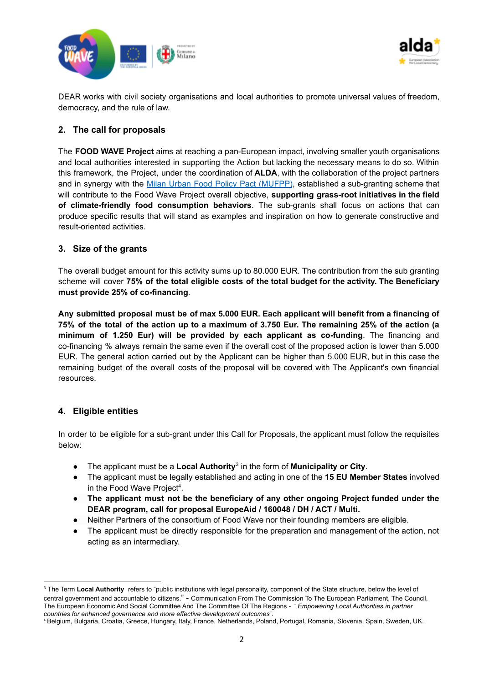



DEAR works with civil society organisations and local authorities to promote universal values of freedom, democracy, and the rule of law.

# **2. The call for proposals**

The **FOOD WAVE Project** aims at reaching a pan-European impact, involving smaller youth organisations and local authorities interested in supporting the Action but lacking the necessary means to do so. Within this framework, the Project, under the coordination of **ALDA**, with the collaboration of the project partners and in synergy with the Milan Urban Food Policy Pact [\(MUFPP\)](https://www.milanurbanfoodpolicypact.org/), established a sub-granting scheme that will contribute to the Food Wave Project overall objective, **supporting grass-root initiatives in the field of climate-friendly food consumption behaviors**. The sub-grants shall focus on actions that can produce specific results that will stand as examples and inspiration on how to generate constructive and result-oriented activities.

# **3. Size of the grants**

The overall budget amount for this activity sums up to 80.000 EUR. The contribution from the sub granting scheme will cover **75% of the total eligible costs of the total budget for the activity. The Beneficiary must provide 25% of co-financing**.

**Any submitted proposal must be of max 5.000 EUR. Each applicant will benefit from a financing of** 75% of the total of the action up to a maximum of 3.750 Eur. The remaining 25% of the action (a **minimum of 1.250 Eur) will be provided by each applicant as co-funding**. The financing and co-financing % always remain the same even if the overall cost of the proposed action is lower than 5.000 EUR. The general action carried out by the Applicant can be higher than 5.000 EUR, but in this case the remaining budget of the overall costs of the proposal will be covered with The Applicant's own financial resources.

# **4. Eligible entities**

In order to be eligible for a sub-grant under this Call for Proposals, the applicant must follow the requisites below:

- The applicant must be a **Local Authority** 3 in the form of **Municipality or City**.
- The applicant must be legally established and acting in one of the **15 EU Member States** involved in the Food Wave Project<sup>4</sup>.
- **● The applicant must not be the beneficiary of any other ongoing Project funded under the DEAR program, call for proposal EuropeAid / 160048 / DH / ACT / Multi.**
- Neither Partners of the consortium of Food Wave nor their founding members are eligible.
- The applicant must be directly responsible for the preparation and management of the action, not acting as an intermediary.

<sup>3</sup> The Term **Local Authority** refers to "public institutions with legal personality, component of the State structure, below the level of central government and accountable to citizens." - Communication From The Commission To The European Parliament, The Council, The European Economic And Social Committee And The Committee Of The Regions - "*Empowering Local Authorities in partner countries for enhanced governance and more effective development outcomes*".

<sup>4</sup> Belgium, Bulgaria, Croatia, Greece, Hungary, Italy, France, Netherlands, Poland, Portugal, Romania, Slovenia, Spain, Sweden, UK.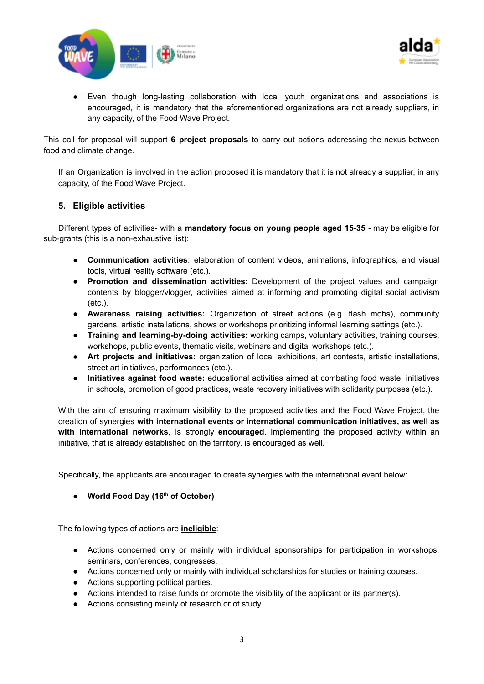



● Even though long-lasting collaboration with local youth organizations and associations is encouraged, it is mandatory that the aforementioned organizations are not already suppliers, in any capacity, of the Food Wave Project.

This call for proposal will support **6 project proposals** to carry out actions addressing the nexus between food and climate change.

If an Organization is involved in the action proposed it is mandatory that it is not already a supplier, in any capacity, of the Food Wave Project**.**

# **5. Eligible activities**

Different types of activities- with a **mandatory focus on young people aged 15-35** - may be eligible for sub-grants (this is a non-exhaustive list):

- **Communication activities**: elaboration of content videos, animations, infographics, and visual tools, virtual reality software (etc.).
- **Promotion and dissemination activities:** Development of the project values and campaign contents by blogger/vlogger, activities aimed at informing and promoting digital social activism (etc.).
- **Awareness raising activities:** Organization of street actions (e.g. flash mobs), community gardens, artistic installations, shows or workshops prioritizing informal learning settings (etc.).
- **Training and learning-by-doing activities:** working camps, voluntary activities, training courses, workshops, public events, thematic visits, webinars and digital workshops (etc.).
- **Art projects and initiatives:** organization of local exhibitions, art contests, artistic installations, street art initiatives, performances (etc.).
- **Initiatives against food waste:** educational activities aimed at combating food waste, initiatives in schools, promotion of good practices, waste recovery initiatives with solidarity purposes (etc.).

With the aim of ensuring maximum visibility to the proposed activities and the Food Wave Project, the creation of synergies **with international events or international communication initiatives, as well as with international networks**, is strongly **encouraged**. Implementing the proposed activity within an initiative, that is already established on the territory, is encouraged as well.

Specifically, the applicants are encouraged to create synergies with the international event below:

**● World Food Day (16 th of October)**

The following types of actions are **ineligible**:

- Actions concerned only or mainly with individual sponsorships for participation in workshops, seminars, conferences, congresses.
- Actions concerned only or mainly with individual scholarships for studies or training courses.
- Actions supporting political parties.
- Actions intended to raise funds or promote the visibility of the applicant or its partner(s).
- Actions consisting mainly of research or of study.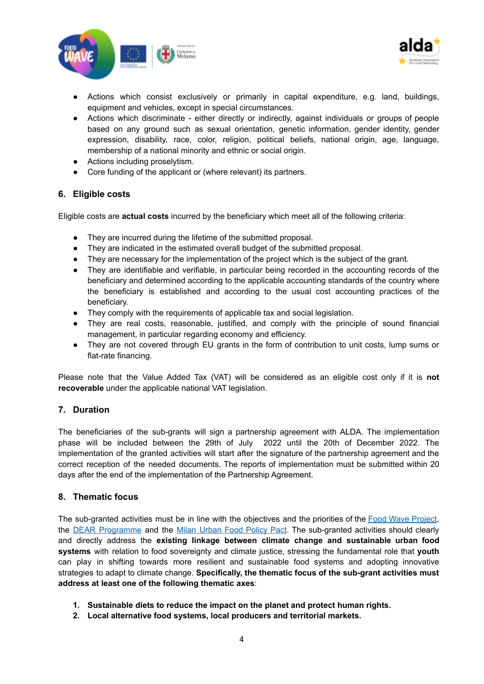



- Actions which consist exclusively or primarily in capital expenditure, e.g. land, buildings, equipment and vehicles, except in special circumstances.
- Actions which discriminate either directly or indirectly, against individuals or groups of people based on any ground such as sexual orientation, genetic information, gender identity, gender expression, disability, race, color, religion, political beliefs, national origin, age, language, membership of a national minority and ethnic or social origin.
- Actions including proselytism.
- Core funding of the applicant or (where relevant) its partners.

# **6. Eligible costs**

Eligible costs are **actual costs** incurred by the beneficiary which meet all of the following criteria:

- They are incurred during the lifetime of the submitted proposal.
- They are indicated in the estimated overall budget of the submitted proposal.
- They are necessary for the implementation of the project which is the subject of the grant.
- They are identifiable and verifiable, in particular being recorded in the accounting records of the beneficiary and determined according to the applicable accounting standards of the country where the beneficiary is established and according to the usual cost accounting practices of the beneficiary.
- They comply with the requirements of applicable tax and social legislation.
- They are real costs, reasonable, justified, and comply with the principle of sound financial management, in particular regarding economy and efficiency.
- They are not covered through EU grants in the form of contribution to unit costs, lump sums or flat-rate financing.

Please note that the Value Added Tax (VAT) will be considered as an eligible cost only if it is **not recoverable** under the applicable national VAT legislation.

# **7. Duration**

The beneficiaries of the sub-grants will sign a partnership agreement with ALDA. The implementation phase will be included between the 29th of July 2022 until the 20th of December 2022. The implementation of the granted activities will start after the signature of the partnership agreement and the correct reception of the needed documents. The reports of implementation must be submitted within 20 days after the end of the implementation of the Partnership Agreement.

# **8. Thematic focus**

The sub-granted activities must be in line with the objectives and the priorities of the Food Wave [Project](https://www.foodwave.eu/), the **DEAR [Programme](https://dearprogramme.eu/)** and the Milan [Urban](https://www.milanurbanfoodpolicypact.org/) Food Policy Pact. The sub-granted activities should clearly and directly address the **existing linkage between climate change and sustainable urban food systems** with relation to food sovereignty and climate justice, stressing the fundamental role that **youth** can play in shifting towards more resilient and sustainable food systems and adopting innovative strategies to adapt to climate change. **Specifically, the thematic focus of the sub-grant activities must address at least one of the following thematic axes**:

- **1. Sustainable diets to reduce the impact on the planet and protect human rights.**
- **2. Local alternative food systems, local producers and territorial markets.**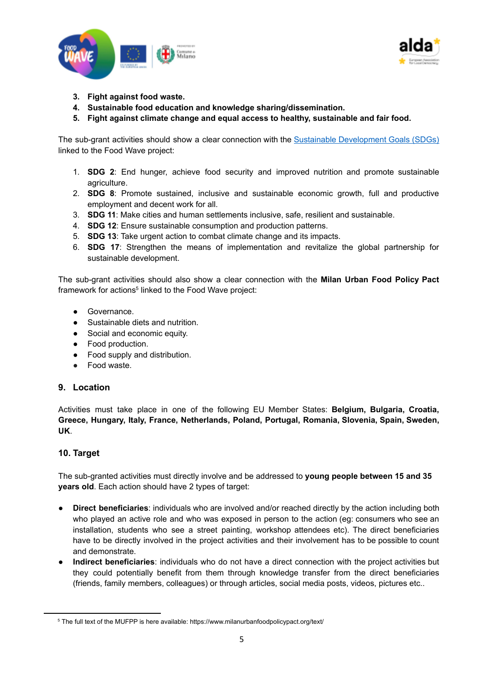



- **3. Fight against food waste.**
- **4. Sustainable food education and knowledge sharing/dissemination.**
- **5. Fight against climate change and equal access to healthy, sustainable and fair food.**

The sub-grant activities should show a clear connection with the Sustainable [Development](https://sdgs.un.org/goals) Goals (SDGs) linked to the Food Wave project:

- 1. **SDG 2**: End hunger, achieve food security and improved nutrition and promote sustainable agriculture.
- 2. **SDG 8**: Promote sustained, inclusive and sustainable economic growth, full and productive employment and decent work for all.
- 3. **SDG 11**: Make cities and human settlements inclusive, safe, resilient and sustainable.
- 4. **SDG 12**: Ensure sustainable consumption and production patterns.
- 5. **SDG 13**: Take urgent action to combat climate change and its impacts.
- 6. **SDG 17**: Strengthen the means of implementation and revitalize the global partnership for sustainable development.

The sub-grant activities should also show a clear connection with the **Milan Urban Food Policy Pact** framework for actions<sup>5</sup> linked to the Food Wave project:

- **●** Governance.
- **●** Sustainable diets and nutrition.
- **●** Social and economic equity.
- **●** Food production.
- **●** Food supply and distribution.
- **●** Food waste.

#### **9. Location**

Activities must take place in one of the following EU Member States: **Belgium, Bulgaria, Croatia, Greece, Hungary, Italy, France, Netherlands, Poland, Portugal, Romania, Slovenia, Spain, Sweden, UK**.

# **10. Target**

The sub-granted activities must directly involve and be addressed to **young people between 15 and 35 years old**. Each action should have 2 types of target:

- **Direct beneficiaries**: individuals who are involved and/or reached directly by the action including both who played an active role and who was exposed in person to the action (eg: consumers who see an installation, students who see a street painting, workshop attendees etc). The direct beneficiaries have to be directly involved in the project activities and their involvement has to be possible to count and demonstrate.
- **Indirect beneficiaries**: individuals who do not have a direct connection with the project activities but they could potentially benefit from them through knowledge transfer from the direct beneficiaries (friends, family members, colleagues) or through articles, social media posts, videos, pictures etc..

<sup>&</sup>lt;sup>5</sup> The full text of the MUFPP is here available: https://www.milanurbanfoodpolicypact.org/text/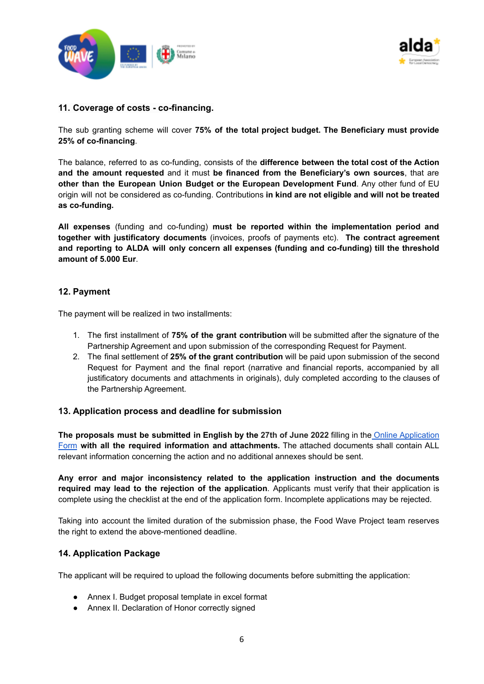



## **11. Coverage of costs - co-financing.**

The sub granting scheme will cover **75% of the total project budget. The Beneficiary must provide 25% of co-financing**.

The balance, referred to as co-funding, consists of the **difference between the total cost of the Action and the amount requested** and it must **be financed from the Beneficiary's own sources**, that are **other than the European Union Budget or the European Development Fund**. Any other fund of EU origin will not be considered as co-funding. Contributions **in kind are not eligible and will not be treated as co-funding.**

**All expenses** (funding and co-funding) **must be reported within the implementation period and together with justificatory documents** (invoices, proofs of payments etc). **The contract agreement and reporting to ALDA will only concern all expenses (funding and co-funding) till the threshold amount of 5.000 Eur**.

## **12. Payment**

The payment will be realized in two installments:

- 1. The first installment of **75% of the grant contribution** will be submitted after the signature of the Partnership Agreement and upon submission of the corresponding Request for Payment.
- 2. The final settlement of **25% of the grant contribution** will be paid upon submission of the second Request for Payment and the final report (narrative and financial reports, accompanied by all justificatory documents and attachments in originals), duly completed according to the clauses of the Partnership Agreement.

#### **13. Application process and deadline for submission**

**The proposals must be submitted in English by the 27th of June 2022** filling in the Online [Application](https://forms.gle/Cn7WLsSdHMv7LaZj6) [Form](https://forms.gle/Cn7WLsSdHMv7LaZj6) **with all the required information and attachments.** The attached documents shall contain ALL relevant information concerning the action and no additional annexes should be sent.

**Any error and major inconsistency related to the application instruction and the documents required may lead to the rejection of the application**. Applicants must verify that their application is complete using the checklist at the end of the application form. Incomplete applications may be rejected.

Taking into account the limited duration of the submission phase, the Food Wave Project team reserves the right to extend the above-mentioned deadline.

#### **14. Application Package**

The applicant will be required to upload the following documents before submitting the application:

- Annex I. Budget proposal template in excel format
- Annex II. Declaration of Honor correctly signed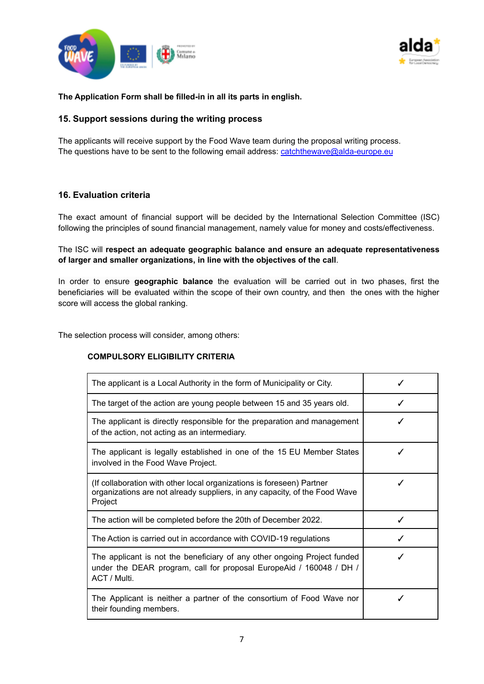



#### **The Application Form shall be filled-in in all its parts in english.**

## **15. Support sessions during the writing process**

The applicants will receive support by the Food Wave team during the proposal writing process. The questions have to be sent to the following email address: [catchthewave@alda-europe.eu](mailto:catchthewave@alda-europe.eu)

## **16. Evaluation criteria**

The exact amount of financial support will be decided by the International Selection Committee (ISC) following the principles of sound financial management, namely value for money and costs/effectiveness.

The ISC will **respect an adequate geographic balance and ensure an adequate representativeness of larger and smaller organizations, in line with the objectives of the call**.

In order to ensure **geographic balance** the evaluation will be carried out in two phases, first the beneficiaries will be evaluated within the scope of their own country, and then the ones with the higher score will access the global ranking.

The selection process will consider, among others:

#### **COMPULSORY ELIGIBILITY CRITERIA**

| The applicant is a Local Authority in the form of Municipality or City.                                                                                         |   |
|-----------------------------------------------------------------------------------------------------------------------------------------------------------------|---|
| The target of the action are young people between 15 and 35 years old.                                                                                          | ✓ |
| The applicant is directly responsible for the preparation and management<br>of the action, not acting as an intermediary.                                       |   |
| The applicant is legally established in one of the 15 EU Member States<br>involved in the Food Wave Project.                                                    |   |
| (If collaboration with other local organizations is foreseen) Partner<br>organizations are not already suppliers, in any capacity, of the Food Wave<br>Project  |   |
| The action will be completed before the 20th of December 2022.                                                                                                  |   |
| The Action is carried out in accordance with COVID-19 regulations                                                                                               |   |
| The applicant is not the beneficiary of any other ongoing Project funded<br>under the DEAR program, call for proposal EuropeAid / 160048 / DH /<br>ACT / Multi. |   |
| The Applicant is neither a partner of the consortium of Food Wave nor<br>their founding members.                                                                |   |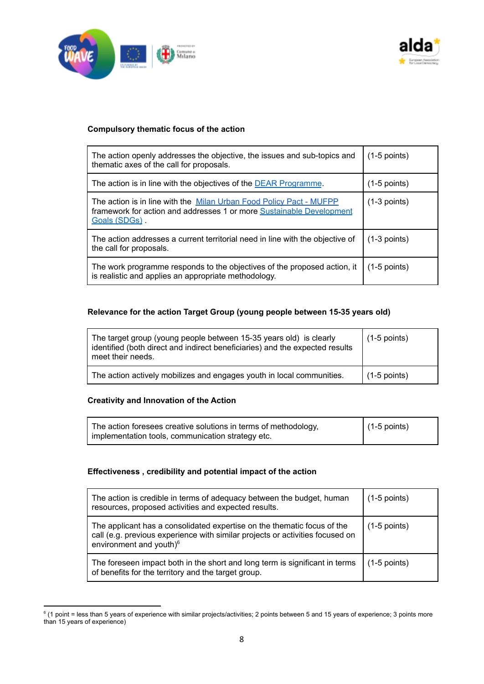



## **Compulsory thematic focus of the action**

| The action openly addresses the objective, the issues and sub-topics and<br>thematic axes of the call for proposals.                                         | $(1-5$ points) |  |
|--------------------------------------------------------------------------------------------------------------------------------------------------------------|----------------|--|
| The action is in line with the objectives of the DEAR Programme.                                                                                             | $(1-5$ points) |  |
| The action is in line with the Milan Urban Food Policy Pact - MUFPP<br>framework for action and addresses 1 or more Sustainable Development<br>Goals (SDGs). | $(1-3$ points) |  |
| The action addresses a current territorial need in line with the objective of<br>the call for proposals.                                                     | $(1-3$ points) |  |
| The work programme responds to the objectives of the proposed action, it<br>is realistic and applies an appropriate methodology.                             | $(1-5$ points) |  |

## **Relevance for the action Target Group (young people between 15-35 years old)**

| The target group (young people between 15-35 years old) is clearly<br>identified (both direct and indirect beneficiaries) and the expected results<br>meet their needs. | $(1-5$ points) |
|-------------------------------------------------------------------------------------------------------------------------------------------------------------------------|----------------|
| The action actively mobilizes and engages youth in local communities.                                                                                                   | $(1-5$ points) |

## **Creativity and Innovation of the Action**

| The action foresees creative solutions in terms of methodology, | $(1-5$ points) |
|-----------------------------------------------------------------|----------------|
| implementation tools, communication strategy etc.               |                |

#### **Effectiveness , credibility and potential impact of the action**

| The action is credible in terms of adequacy between the budget, human<br>resources, proposed activities and expected results.                                                                   | $(1-5$ points) |
|-------------------------------------------------------------------------------------------------------------------------------------------------------------------------------------------------|----------------|
| The applicant has a consolidated expertise on the thematic focus of the<br>call (e.g. previous experience with similar projects or activities focused on<br>environment and youth) <sup>6</sup> | $(1-5$ points) |
| The foreseen impact both in the short and long term is significant in terms<br>of benefits for the territory and the target group.                                                              | $(1-5$ points) |

<sup>&</sup>lt;sup>6</sup> (1 point = less than 5 years of experience with similar projects/activities; 2 points between 5 and 15 years of experience; 3 points more than 15 years of experience)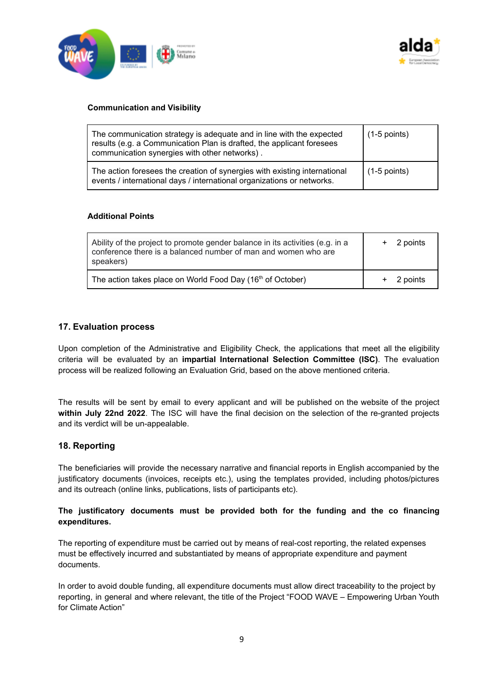



#### **Communication and Visibility**

| The communication strategy is adequate and in line with the expected<br>results (e.g. a Communication Plan is drafted, the applicant foresees<br>communication synergies with other networks). | $(1-5$ points) |
|------------------------------------------------------------------------------------------------------------------------------------------------------------------------------------------------|----------------|
| The action foresees the creation of synergies with existing international<br>events / international days / international organizations or networks.                                            | $(1-5$ points) |

#### **Additional Points**

| Ability of the project to promote gender balance in its activities (e.g. in a<br>conference there is a balanced number of man and women who are<br>speakers) | 2 points |
|--------------------------------------------------------------------------------------------------------------------------------------------------------------|----------|
| The action takes place on World Food Day (16 <sup>th</sup> of October)                                                                                       | 2 points |

## **17. Evaluation process**

Upon completion of the Administrative and Eligibility Check, the applications that meet all the eligibility criteria will be evaluated by an **impartial International Selection Committee (ISC)**. The evaluation process will be realized following an Evaluation Grid, based on the above mentioned criteria.

The results will be sent by email to every applicant and will be published on the website of the project **within July 22nd 2022**. The ISC will have the final decision on the selection of the re-granted projects and its verdict will be un-appealable.

#### **18. Reporting**

The beneficiaries will provide the necessary narrative and financial reports in English accompanied by the justificatory documents (invoices, receipts etc.), using the templates provided, including photos/pictures and its outreach (online links, publications, lists of participants etc).

## **The justificatory documents must be provided both for the funding and the co financing expenditures.**

The reporting of expenditure must be carried out by means of real-cost reporting, the related expenses must be effectively incurred and substantiated by means of appropriate expenditure and payment documents.

In order to avoid double funding, all expenditure documents must allow direct traceability to the project by reporting, in general and where relevant, the title of the Project "FOOD WAVE – Empowering Urban Youth for Climate Action"